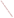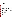#### **OVERVIEW SECTION**

#### **AGENCY:** ENVIRONMENTAL PROTECTION AGENCY (EPA)

**TITLE:** "MARKET-BASED AND STATE POLICY-BASED APPROACHES TO REDUCING EMISSIONS THROUGH IMPROVED GREENHOUSE GAS MANAGEMENT AND CLEAN ENERGY PROGRAMS"

**ACTION:** Request for Initial Proposals (RFIP) – Initial Announcement

**RFIP NO.:** OAR-CPPD-05-04

#### **CATALOG OF FEDERAL DOMESTIC ASSISTANCE (CFDA) NO.:** 66.034

**DATES:** The closing date and time for receipt of Initial proposals is April 25, 2005, 4:00 p.m. EST. All applications, however transmitted, must be received in the Program Office by the closing date and time to receive consideration.

Final applications will be accepted, only, from those eligible entities whose Initial Proposal has been successfully evaluated and recommended for award. EPA will notify applicants whose Initial Proposal have been recommended for award not later than May 16, 2005. The closing date and time for receipt of Final Proposals is May 27, 2005, 4:00 p.m. EST.

**SUMMARY:** This notice announces the availability of funds and solicits proposals to encourage voluntary efforts to reduce energy-related emissions, further the development of accurate methodologies to track, measure and monitor these emissions by funding proposals to advance improvements in corporate, state, and local greenhouse gas management, including the identification, development, and/or effectiveness of clean energy programs.

**FUNDING/AWARDS:** The total estimated funding for this competitive opportunity shall not exceed \$1,350,000.00. In FY 2005, total funding shall not exceed \$450,000.00. EPA anticipates award of one grant whose annual value shall not exceed \$50,000, as a result of this competitive opportunity. Additionally, award of up to four cooperative agreements, whose annual value shall not exceed \$100,000 is possible, subject to the availability of funds and quality of evaluated proposals.

#### **CONTENTS BY SECTION**

- I. Funding Opportunity Description
- II. Award Information
- III. Eligibility Information
- IV. Application and Submission Information
- V. Application Review Information
- VI. Award Administration Information
- VII. Agency Contact
- VIII. Other Information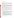# **Section I - Funding Opportunity Description.**

# **A. Background.**

The Climate Protection Partnerships Division (CPPD) is committed to reducing emissions through energy efficiency, clean energy, and cost-effective partnerships with industries and governments in all sectors of our economy where emissions reductions can be achieved. The CPPD currently has several voluntary partnership programs that support organizations that are committed to reducing emissions through these strategies.

Climate Leaders is a voluntary industry-government partnership that encourages companies to develop long-term comprehensive climate change strategies and set greenhouse gas emissions reduction goals. EPA's Green Power Partnership provides assistance and recognition to organizations that demonstrate environmental leadership by choosing green power. The Combined Heat and Power (CHP) Partnership is a voluntary program that seeks to reduce the environmental impact of power generation by fostering the use of CHP. The Partnership works closely with the CHP industry, state and local governments, and other stakeholders to develop tools and services to support the development of new projects and promote their energy, environmental, and economic benefits.

In addition to these partnerships, CPPD is also engaged in helping state and local governments that request assistance in developing state programs that reduce emissions through the development and implementation of clean energy policies and programs. Such policies are implemented through a variety of state agencies including energy and environmental offices as well as utility commissions.

The CPPD encourages voluntary efforts to reduce energy-related emissions, further the development of accurate methodologies to track, measure and monitor these emissions, and further the CPPD's mission by funding proposals to advance improvements in corporate, state, and local greenhouse gas management, including the identification, development, and/or implementation of clean energy programs that reduce emissions.

# **B. EPA Strategic Plan Linkage and Anticipated Outcomes/Outputs.**

- 1. *Linkage to EPA Strategic Plan.* This project supports progress towards EPA Strategic Plan Goal 1(Clean Air and Global Climate Change), Objective 1.5 (Reduce Greenhouse Gas Intensity). This project supports EPA efforts to encourage and facilitate stakeholders from industry and state partnership programs to engage in best practices in terms of energy management and renewable energy programs with the goal of reducing greenhouse gas intensity, through technical support, training and other support programs.
- 2. *Outcomes.* Through this project EPA hopes to address the reduction of greenhouse gas intensity by enhancing voluntary partnerships with industry and state governmental agencies and other sectors, especially projects that address this goal by facilitating the use of clean energy technologies and promoting energy efficiency and renewable energy.
- 3. *Outputs.* The anticipated output for this project is technical support, training and other assistance for a minimum 700 industry and state agency partners (Climate Leaders, Green Power Partnership, Clean Energy-Environment State Partnership, Combined Heat and Power Partnership). Additional output may be manifest through an increase in activities by these sectors in fostering voluntary energy efficiency improvements and renewable energy programs with the goal of reducing carbon dioxide emissions.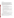#### **C. Scope-of-Work.**

CPPD seeks to fund proposals that assist in voluntary reductions of emissions through improved corporate, state, and local greenhouse gas management, policies and programs for clean energy and energy efficiency, and market-based approaches. Proposals submitted for consideration should: (1) identify unique constituencies (corporate officers/CFOs/employees, state and local energy/environment/commerce offices, state utility commissions, state legislators, renewable energy purchasers, end users, utilities, etc.) and approaches/channels for working with stakeholders; (2) demonstrate an understanding of the best practices/technologies and the market structure for delivery of the technologies/best practices to end users; (3) identify barriers to widespread adoption of reduction of emissions from stationary source energy use, energy efficient and renewable energy technologies/best practices; and (4) delineate strategies for overcoming the barriers identified.

Proposals may address one or more of the following areas:

- Improving corporate greenhouse gas management strategies, such as corporate greenhouse gas inventory creation, identifying reduction opportunities, and training/awareness/ outreach for employees, small/medium businesses, supplier chains, and others;
- Leveraging corporate social responsibility (CSR) organizations, opportunities and/or market forcers as drivers of corporate greenhouse gas management;
- Harnessing and/or improving engagement in corporate climate change activities and opportunities on the part of financial stakeholders including, but not limited to, investment houses, mutual funds, pension funds, endowments and private equity vehicles;
- Assisting in the identification, development and/or effectiveness of clean energy policies and programs, including awareness/alleviation of informational barriers, economic/financial and market barriers for the development and/or effectiveness of state and local clean energy policies and programs.
- Assisting in the analysis and effectiveness of programs that provide the integration of state clean energy policies with air quality programs/policies.
- Developing and deploying curricula for clean energy and/or environmental aspects of energy use (e.g. architectural/engineering programs);
- Assisting in development of the voluntary green power market and compliance renewable energy programs -- including certification and verification; communications and recognition, and policy development -- including tracking of renewable energy certificates.

Project proposals should address EPA's goal towards addressing clean air and global climate change. Specifically, the projects should address the reduction of greenhouse gas intensity by enhancing voluntary partnerships with industry and other sectors and state and local governmental programs, especially projects that address this goal by facilitating the use of clean energy technologies and promoting renewable energy.

Eligible entities are encouraged to submit multi-year applications. The final assistance agreement must be completed within an awarded period of performance from 24 to 36 months.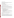#### **D. Supplementary Information.**

The statutory authority for this action is Clean Air Act, Section 103(b)(3) which authorizes the award of grants for research, investigations, experiments, demonstrations, surveys, and studies related to the causes, effect, extent, prevention and control of air pollution.

#### **Section II - Award Information.**

#### **A. What is the amount of funding available?**

The total estimated funding for this competitive opportunity shall not exceed \$1,350,000.00. In FY 2005, total funding shall not exceed \$450,000.00.

#### **B. How many agreements will EPA award in this competition?**

EPA anticipates award of one grant whose annual value shall not exceed \$50,000, as a result of this competitive opportunity. Additionally, award of up to four cooperative agreements, whose annual value shall not exceed \$100,000 is possible, subject to the availability of funds and quality of evaluated proposals.

Cooperative agreements permit substantial involvement between the EPA Project Officer and the selected applicants in the performance of the work supported. Although EPA will negotiate precise terms and conditions relating to substantial involvement as part of the award process, the anticipated substantial Federal involvement for this project will be:

- 1. close monitoring of the successful applicant's performance;
- 2. collaboration during the performance of the scope of work;
- 3. approving substantive terms of proposed contracts;
- 4. approving qualifications of key personnel (EPA will not select employees or contractors employed by the award recipient);
- 5. review and comment on reports prepared under the cooperative agreement (the final decision on the content of reports rests with the recipient);
- 6. collaboration with the recipient on development of meeting agendas (EPA anticipates Project Officer participation in at least two meetings with the recipient, for this purpose, during each year of the assistance agreement.).

#### **C. What is the project period for awards resulting from this solicitation?**

The estimated project period for awards resulting from this solicitation is October 1, 2005 through September 30, 2008. All projects must be completed within the negotiated project performance period of two to three years.

#### **D. Can funding be used to acquire services or fund partnerships?**

Funding may be used to acquire services or fund partnerships, provided the recipient follows procurement and subaward or subgrant procedures contained in 40 [CFR P](http://www.gpoaccess.gov/cfr/retrieve.html)arts 30 or 31, as applicable. Successful applicants must compete contracts for services and products and conduct cost and price analyses to the extent required by these regulations. The regulations also contain limitations on consultant compensation. Applicants are not required to identify contractors or consultants in their proposal. Moreover, the fact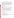that a successful applicant has named a specific contractor or consultant in the proposal EPA approves does not relieve it of its obligations to comply with competitive procurement requirements.

Subgrants or subawards may be used to fund partnerships with non profit organizations and governmental entities. Successful applicants cannot use subgrants or subawards to avoid requirements in EPA grant regulations for competitive procurement by using these instruments to acquire commercial services or products to carry out its cooperative agreement. For profit organizations are not eligible subgrant recipients under this announcement. The nature of the transaction between the recipient and the subgrantee must be consistent with the standards for distinguishing between vendor transactions and subrecipient assistance under Subpart B Section .210 o[f OMB Circular A-133,](http://www.whitehouse.gov/omb/circulars/a133/a133.html) and the definitions of "subaward" at 40 CFR 30.2(ff) or "subgrant" at 40 CFR 31.3, as applicable. EPA will not be a party to these transactions.

# **Section III - Eligibility Information.**

# **A. Eligible Entities.**

Proposals will be accepted from states, territories, Indian Tribes, and possessions of the U.S., including the District of Columbia, international organizations, public and private universities and colleges, hospitals, laboratories, other public or private nonprofit institutions, as defined b[y OMB Circular A-110](http://www.whitehouse.gov/omb/circulars/a110/a110.html) and [OMB Circular A-122.](http://www.whitehouse.gov/omb/circulars/a122/a122.html)

Non-profit organization, as defined by OMB Circular A-122, means any corporation, trust, association, cooperative, or other organization which: (1) is operated primarily for scientific, educational, service, charitable, or similar purposes in the public interest; (2) is not organized primarily for profit; and (3) uses its net proceeds to maintain, improve, and/or expand its operations. For this purpose, the term "non-profit organization" excludes (i) colleges and universities; (ii) hospitals; (iii) state, local, and federally-recognized Indian tribal governments; and (iv) those non-profit organizations which are excluded from coverage of this Circular in accordance with paragraph 5 of the Circular.

Non-profit organizations described in Section  $501(c)(4)$  of the Internal Revenue Code that engage in lobbying activities as defined in Section 3 of the Lobbying Disclosure Act of 1995 are not eligible to apply.

# **B. Cost-Sharing or Matching.**

Cost sharing or matching is not required as a condition of eligibility, or otherwise, for proposals selected for award.

# **Section IV - Application and Submission Information.**

#### **A. How to Obtain Application Package.**

Applicants may download individual grant application forms, or electronically request a paper application package and an accompanying computer CD of information related to applicants/grant recipients roles and responsibilities from EPA's Grants and Debarment website by visiting: [http://www.epa.gov/ogd/grants/how\\_to\\_apply.htm.](http://www.epa.gov/ogd/grants/how_to_apply.htm)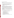# **B. Content and Form of Application Submission.**

- 1. **Initial Proposals.** Applicants must submit one original signature Initial Proposal and two complete copies. Initial Proposals may not exceed 20 pages in length and must conform to the following outline:
	- a. Overview of the organization, its mission, and related experience (2 pages maximum);
	- b. Description of key project activities and approaches. The Project Description must explicitly describe the applicant's proposed project and specifically address each of the evaluation criteria disclosed in *Section V(A), Evaluation Criteria*. (10 pages maximum);
	- c. Brief biographical sketches of key technical experts who will be involved in the project (3 pages maximum);
	- d. Detailed budget narrative (3 pages maximum);
	- e. SF 424a (2 pages).

Applicants are strongly advised to avoid submission of non-essential materials unrelated to the proposal's requirements. Upon receipt, proposals will be reviewed for content. Proposals that do not conform to the specific outline and content detailed above may not be considered for award. **Incomplete proposals will not be considered for award.** EPA will not consider or evaluate pages in excess of the maximum page limitation. The maximum page limitation shall include any pieces that may be submitted by a third party (e.g., references or letters confirming commitments).

# 2. **Final Applications.** *(FINAL APPLICATIONS WILL BE ACCEPTED, ONLY, FROM THOSE ELIGIBLE ENTITIES WHOSE INITIAL PROPOSAL HAS BEEN SUCCESSFULLY EVALUATED AND RECOMMENDED FOR AWARD. DO NOT INCLUDE THESE DOCUMENTS WITH THE INITIAL PROPOSAL.)*

Applicants whose Initial Proposals have been evaluated and recommended for award must submit one original signature document and two copies of the completed federal grant application package and narrative workplan. All application materials must be completed in English.

- a. A complete **FINAL APPLICATION** must contain the following, in the sequential order shown:
	- 1. SF-424 Application for Federal Assistance, with original signature.
	- 2. Narrative Statement, in the format detailed below.
	- 3. Other supporting documentation.
	- 4. SF-424 A, Budget by categories and indirect cost rate.
	- 5. SF-424 B, Assurances for non-construction programs.
	- 6. Debarment and Suspension Certification.
	- 7. Certification Regarding Lobbying and SF LLL, if applicable.
	- 8. EPA Form 4700-4 Preaward Compliance review report.
	- 9. Quality Assurance Narrative Statement, if applicable.
	- 10. Copy of Negotiated Indirect Cost Rate Agreement, if applicable.
	- 11. Biographical Sketch.
	- 12. E-mail address or self-addressed envelope (to receive notification of receipt of application).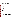- b. The narrative statement should conform to the following outline:
	- 1. Project Title.
	- 2. Applicant Information. Include applicant (organization) name, address, contact person, phone number, fax and e-mail address.
	- 3. Funding Requested. Specify the amount you are requesting from EPA.
	- 4. Project period. Provide beginning and ending dates (for planning purposes, applicants should assume a project start date of October 1, 2005).
	- 5. Narrative Workplan. Summarize the project and specifically explain how the project meets the evaluation criteria detailed in *Section V(A)* of this solicitation.
	- 6. Qualifications. Summarize your technical experience and knowledge. Demonstrate how your qualifications meet the evaluation criteria detailed in *Section V(A)* of this solicitation.
	- 7. Total Project Cost. Specify total cost of the project. Identify funding from other sources including any in-kind resources.
	- 8. Detailed Itemized Budget. Clearly explain how EPA funds will be used. Provide a budget for the following categories:
		- Personnel
		- Fringe Benefits
		- Contractual Costs
		- Travel
		- Equipment
		- Supplies
		- Other
		- Total Direct Costs
		- Total Indirect Costs: must include documentation of accepted indirect rate
		- Total Cost
	- 9. Reporting Requirements. Discuss quarterly progress (schedule to be established by EPA). Quarterly progress reports should include: a summary of performance progress-to-date, problems encountered, successes achieved, and lessons learned.

#### **C. Submission Dates and Times.**

- 1. The closing date and time for receipt of Initial proposals is April 25, 2005, 4:00 p.m. EST. All applications, however transmitted, must be received in the Program Office by the closing date and time to receive consideration. Proposals received after the closing date and time will not be considered for funding. Electronic or facsimile transmission of Initial Proposals/Final Applications will not be accepted.
- 2. The closing date and time for submission of completed Final Application packages is May 27, 2005, 4:00 p.m. EST. *(Final applications will be accepted, only, from those eligible entities whose Initial Proposal has been successfully evaluated and selected for award.)*
- 3. **Confidential Business Information.** In accordance with 40 CFR 2.203, applicants may claim all or a portion of their application/proposal as confidential business information. EPA will evaluate confidentiality claims in accordance with 40 CFR Part 2. Applicants must clearly mark applications/proposals or portions of applications/proposals they claim as confidential. If no claim of confidentiality is made, EPA is not required to make the inquiry to the applicant otherwise required by 40 CFR  $2.204(c)(2)$  prior to disclosure.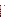4. Because of the unique situation involving U.S. mail screening in Washington, DC, EPA highly recommends that applicants use an express mail option to submit their proposals. Initial Proposals and Final Applications shall be addressed to:

Express Delivery Address (FedEx, UPS, DHL, etc) U.S. EPA Attn: Wendy Dew OAR/OAP/Climate Protection Partnerships Division 1310 L Street, NW,  $10^{th}$  Floor Washington, DC 20005

Regular Mail Delivery Address (U.S. Postal Service) U.S. EPA Attn: Wendy Dew (Mail Code 6202J) OAR/OAP/CPPD 1200 Pennsylvania Avenue, NW Washington, DC 20460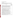## **Section 5 - Application Review Information.**

# **A. Evaluation Criteria.**

Each eligible proposal, based on Section III, Eligibility Information, will be evaluated according to the criteria set forth below. Proposals that are best able to directly and explicitly address the evaluation criteria below will have a greater likelihood of being selected for award. Each proposal will be rated under a points system, with a total of 100 points possible.

| <b>Criterion</b>                                                                                                                                                                                                                                                                                                                                                                                                                                                                                                                                                                                                                                                                                                                                                                                                                                                                                                                                                                                                                                                                                                                                                                                                                                                              | <b>Maximum</b><br>Points per<br><b>Criterion</b> |
|-------------------------------------------------------------------------------------------------------------------------------------------------------------------------------------------------------------------------------------------------------------------------------------------------------------------------------------------------------------------------------------------------------------------------------------------------------------------------------------------------------------------------------------------------------------------------------------------------------------------------------------------------------------------------------------------------------------------------------------------------------------------------------------------------------------------------------------------------------------------------------------------------------------------------------------------------------------------------------------------------------------------------------------------------------------------------------------------------------------------------------------------------------------------------------------------------------------------------------------------------------------------------------|--------------------------------------------------|
| <b>Project Description.</b> Extent to which the proposal describes the importance of the<br>project and its potential to deliver voluntary reductions in emissions through clean<br>energy programs and further the development of accurate methodologies to track,<br>measure, and monitor these emissions through improving corporate, state, and local<br>greenhouse gas management strategies and/or assisting in the development and<br>effectiveness of clean energy policies and programs that lead to the public good of<br>reducing energy-related emissions from stationary sources. The proposal effectively<br>describes:<br>• the size and importance of the market/emissions sources that will be affected;<br>• the estimated impact of the initiative(s) on reducing energy consumption, emissions,<br>and/or enhancing the design of corporate, national, state, and local greenhouse gas<br>management/clean energy programs;<br>• anticipated outcomes of the project (i.e emissions, economic benefits);<br>• the project's contributions towards the development and/or effectiveness of<br>greenhouse gas management/clean energy policies and programs in terms of<br>engaging relevant and unique constituencies and stakeholders, formulating goals, | 30                                               |
| identifying barriers, developing strategies to overcome these barriers, and<br>accomplishing key activities with discrete tasks and time lines;<br>• the applicant's capability and potential to assist corporations and/or state and local<br>government goals for policies and programs that enhance their greenhouse gas<br>management and emission reduction efforts, including creating lasting change in the<br>clean energy markets.                                                                                                                                                                                                                                                                                                                                                                                                                                                                                                                                                                                                                                                                                                                                                                                                                                   |                                                  |
| <b>Experience of key personnel.</b> Extent to which the experience of key personnel,<br>described in detail, is related to the project(s) proposed and demonstrates a level of<br>expertise or proficiency. CPPD will review biographical sketches to determine if<br>staff experience is commensurate with activities proposed. Applicants must designate<br>a primary contact, who will be responsible for the implementation of the grant and<br>serve as a liaison with CPPD staff.                                                                                                                                                                                                                                                                                                                                                                                                                                                                                                                                                                                                                                                                                                                                                                                       | 25                                               |
| <b>Resources:</b> Extent to which the applicant's proposed budget is clearly stated,<br>detailed, and appropriate to achieve the project's objectives.                                                                                                                                                                                                                                                                                                                                                                                                                                                                                                                                                                                                                                                                                                                                                                                                                                                                                                                                                                                                                                                                                                                        | 20                                               |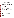| <b>Performance Measurement.</b> Applicant's proposal includes an effective method for<br>tracking the number of industry and state agency partners trained or for which<br>technical and/or other related support was provided, and their post-training/technical<br>support activities that address the goal of reducing emissions through improved<br>greenhouse gas management, facilitating use of clean energy technologies, and<br>promoting renewable energy. | 15 |
|----------------------------------------------------------------------------------------------------------------------------------------------------------------------------------------------------------------------------------------------------------------------------------------------------------------------------------------------------------------------------------------------------------------------------------------------------------------------|----|
| <b>Past experience.</b> Proposal demonstrates the applicant's organizational experience in<br>corporate greenhouse gas management efforts and/or developing documentation,<br>providing technical assistance and assisting with outreach efforts for state and local<br>policymakers in their decision making and process of integrating emission reduction<br>programs with state clean energy policies and programs.                                               | 10 |

# **B. Other Factors.**

EPA reserves the right to make award decisions based on factors that help ensure geographic equity and demonstration of a variety of technical approaches.

# **C. Review and Selection Process.**

Each Initial proposal will be evaluated by a team chosen to address the range of activities associated with reducing greenhouse gases through energy efficiency and cost effective partnerships with private industry to achieve emissions reduction. The Evaluation Team will base its evaluation solely on the selection criteria disclosed in this notice *(see Section V(A), Evaluation Criteria)*.

Completed evaluations will be referred to a Selection Committee that is responsible for further consideration and final selection. The highest numerically-ranked proposal(s) (subject to the quality of proposals, availability of funds, and consideration of *Section V(B), Other Factors*) will be recommended for award and required to submit Final Applications.

#### **Section VI - Award Administration Information.**

### **A. Award Notices.**

Following evaluation of Initial Proposals, all applicants will be notified regarding their application's status.

# 1. **Initial Proposal Notifications.**

- a. EPA anticipates notification to *successful* applicant(s) will be made, via telephone, electronic or postal mail by May 16, 2005. The notification will advise the applicant that its Initial Proposal has been successfully evaluated and recommended for award. The notice shall require submission of a Final Application. *(Refer to Section IV(B), Content and form of Application Submission.)*
- b. EPA anticipates notification to *unsuccessful* applicant(s) will be made via electronic or postal mail by May 16, 2005. In either event, the notification will be sent to the original signer of the application.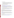## 2. **Final Proposal Notifications.**

a. EPA anticipates notification to *successful* applicant(s) regarding the status of Final Applications will be made, via telephone, electronic or postal mail by September 30, 2004. This notification, which advises that the applicant's proposal has been recommended for award, is not an authorization to begin performance. The award notice signed by the EPA grants officer is the authorizing document and will be provided through postal mail. At a minimum, this process can take up to 90 days from the date of recommendation.

# **B. Administrative and National Policy Requirements.**

- 1. A listing and description of general EPA Regulations applicable to the award of assistance agreements may be viewed at: [http://www.epa.gov/ogd/AppKit/applicable\\_epa\\_regulations\\_and\\_description.htm.](http://www.epa.gov/ogd/AppKit/applicable_epa_regulations_and_description.htm)
- 2. Executive Order 12372, Intergovernmental Review of Federal Programs may be applicable to awards, resulting from this announcement. Applicants *selected* for funding may be required to provide a copy of their proposal to thei[r State Point of Contact](http://www.whitehouse.gov/omb/grants/spoc.html) (SPOC) for review, pursuant to Executive Order 12372, Intergovernmental Review of Federal Programs. This review is not required with the Initial Proposal and not all states require such a review.
- 3. All applicants are required to provide a Dun and Bradstreet (D&B) Data Universal Numbering System (DUNS) number when applying for a Federal grant or cooperative agreement. Applicants can receive a DUNS number, at no cost, by calling the dedicated toll-free DUNS Number request line at 1-866-705-5711, or visiting the D&B website at: [http://www.dnb.com.](http://www.dnb.com)

# **C. Reporting Requirement.**

Quarterly progress reports will be required unless the applicant demonstrates the adequacy of less frequent reporting. The progress reports should include: a summary of performance progress-to-date, detailed expenditures-to-date, problems encountered, successes achieved, and lessons learned. The schedule for submission of progress reports will be established, by EPA, after award. The recipient must submit a final report for EPA approval within ninety (90) days of the end of the project period.

# **D. Disputes.**

Assistance agreement competition-related disputes will be resolved in accordance with th[e dispute](http://a257.g.akamaitech.net/7/257/2422/01jan20051800/edocket.access.gpo.gov/2005/05-1371.htm) [resolution procedures](http://a257.g.akamaitech.net/7/257/2422/01jan20051800/edocket.access.gpo.gov/2005/05-1371.htm) published in 70 FR (Federal Register) 3629, 3630 (January 26, 2005) located on the web at: http://a257.g.akamaitech.net/7/257/2422/01jan20051800/edocket.access.gpo.gov/2005/05- 1371.htm. Copies of these procedures may also be requested by contacting the Agency contact identified in Section VII of this solicitation.

# **VII. Agency Contact**

All questions while this funding opportunity is open should be e-mailed to cppd.grant-fundinginquiries@epa.gov . Answers will be posted, bi-weekly, until the closing date for this announcement at the OAR Grants/Funding website [http://www.epa.gov/air/grants\\_funding.html](http://www.epa.gov/air/grants_funding.html)